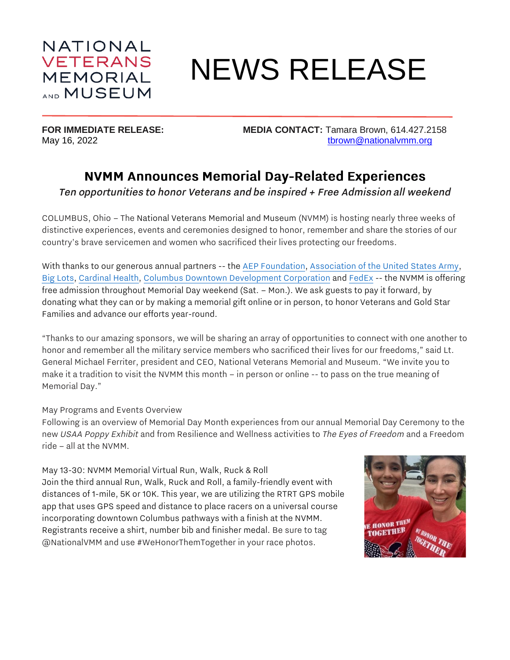

# NEWS RELEASE

**FOR IMMEDIATE RELEASE: MEDIA CONTACT:** Tamara Brown, 614.427.2158 May 16, 2022 **the COVID-MANUAL COVID-MANUAL COVID-MANUAL COVID-MANUAL COVID-MANUAL COVID-MANUAL COVID-MANUAL COVID-MANUAL COVID-MANUAL COVID-MANUAL COVID-MANUAL COVID-MANUAL COVID-MANUAL COVID-MANUAL COVID-MANUAL COVID-MAN** 

# **NVMM Announces Memorial Day-Related Experiences**

Ten opportunities to honor Veterans and be inspired + Free Admission all weekend

COLUMBUS, Ohio – The National Veterans Memorial and Museum (NVMM) is hosting nearly three weeks of distinctive experiences, events and ceremonies designed to honor, remember and share the stories of our country's brave servicemen and women who sacrificed their lives protecting our freedoms.

With thanks to our generous annual partners -- the [AEP Foundation,](https://www.aep.com/community/givingback) [Association of the United States Army,](https://www.ausa.org/) [Big Lots,](https://www.biglots.com/) [Cardinal Health,](https://www.cardinalhealth.com/en/about-us/corporate-citizenship.html) [Columbus Downtown Development Corporation](https://www.columbusddc.com/) and [FedEx](http://fedexcares.com/) -- the NVMM is offering free admission throughout Memorial Day weekend (Sat. – Mon.). We ask guests to pay it forward, by donating what they can or by making a memorial gift online or in person, to honor Veterans and Gold Star Families and advance our efforts year-round.

"Thanks to our amazing sponsors, we will be sharing an array of opportunities to connect with one another to honor and remember all the military service members who sacrificed their lives for our freedoms," said Lt. General Michael Ferriter, president and CEO, National Veterans Memorial and Museum. "We invite you to make it a tradition to visit the NVMM this month – in person or online -- to pass on the true meaning of Memorial Day."

#### May Programs and Events Overview

Following is an overview of Memorial Day Month experiences from our annual Memorial Day Ceremony to the new *USAA Poppy Exhibit* and from Resilience and Wellness activities to *The Eyes of Freedom* and a Freedom ride – all at the NVMM.

May 13-30: NVMM Memorial Virtual Run, Walk, Ruck & Roll Join the third annual Run, Walk, Ruck and Roll, a family-friendly event with distances of 1-mile, 5K or 10K. This year, we are utilizing the RTRT GPS mobile app that uses GPS speed and distance to place racers on a universal course incorporating downtown Columbus pathways with a finish at the NVMM. Registrants receive a shirt, number bib and finisher medal. Be sure to tag @NationalVMM and use #WeHonorThemTogether in your race photos.

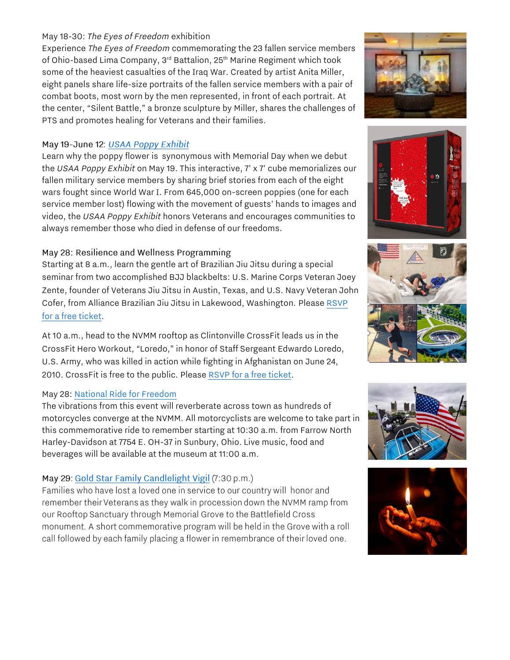#### May 18-30: *The Eyes of Freedom* exhibition

Experience *The Eyes of Freedom* commemorating the 23 fallen service members of Ohio-based Lima Company, 3<sup>rd</sup> Battalion, 25<sup>th</sup> Marine Regiment which took some of the heaviest casualties of the Iraq War. Created by artist Anita Miller, eight panels share life-size portraits of the fallen service members with a pair of combat boots, most worn by the men represented, in front of each portrait. At the center, "Silent Battle," a bronze sculpture by Miller, shares the challenges of PTS and promotes healing for Veterans and their families.

#### May 19-June 12: USAA Poppy Exhibit

Learn why the poppy flower is synonymous with Memorial Day when we debut the *USAA Poppy Exhibit* on May 19. This interactive, 7' x 7' cube memorializes our fallen military service members by sharing brief stories from each of the eight wars fought since World War I. From 645,000 on-screen poppies (one for each service member lost) flowing with the movement of guests' hands to images and video, the *USAA Poppy Exhibit* honors Veterans and encourages communities to always remember those who died in defense of our freedoms.

#### May 28: Resilience and Wellness Programming

Starting at 8 a.m., learn the gentle art of Brazilian Jiu Jitsu during a special seminar from two accomplished BJJ blackbelts: U.S. Marine Corps Veteran Joey Zente, founder of Veterans Jiu Jitsu in Austin, Texas, and U.S. Navy Veteran John Cofer, from Alliance Brazilian Jiu Jitsu in Lakewood, Washington. Please [RSVP](https://nationalvmm.org/events/veterans-jiu-jitsu/)  [for a free ticket.](https://nationalvmm.org/events/veterans-jiu-jitsu/)

At 10 a.m., head to the NVMM rooftop as Clintonville CrossFit leads us in the CrossFit Hero Workout, "Loredo," in honor of Staff Sergeant Edwardo Loredo, U.S. Army, who was killed in action while fighting in Afghanistan on June 24, 2010. CrossFit is free to the public. Please [RSVP for a free ticket.](https://nationalvmm.org/events/crossfit-on-the-roof/)

#### May 28: [National Ride for Freedom](https://farrowhd.com/event/16380/thenational)

The vibrations from this event will reverberate across town as hundreds of motorcycles converge at the NVMM. All motorcyclists are welcome to take part in this commemorative ride to remember starting at 10:30 a.m. from Farrow North Harley-Davidson at 7754 E. OH-37 in Sunbury, Ohio. Live music, food and beverages will be available at the museum at 11:00 a.m.

## May 29: Gold Star Family Candlelight Vigil (7:30 p.m.)

Families who have lost a loved one in service to our country will honor and remember their Veterans as they walk in procession down the NVMM ramp from our Rooftop Sanctuary through Memorial Grove to the Battlefield Cross monument. A short commemorative program will be held in the Grove with a roll call followed by each family placing a flower in remembrance of their loved one.